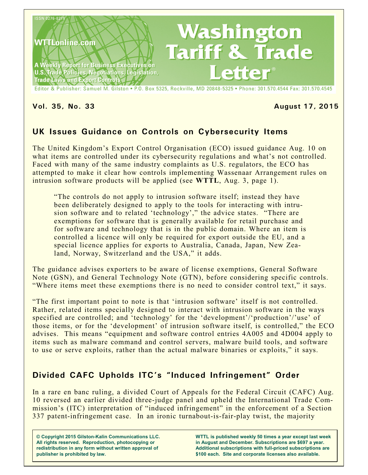

Editor & Publisher: Samuel M. Gilston . P.O. Box 5325, Rockville, MD 20848-5325 . Phone: 301.570.4544 Fax: 301.570.4545

#### **Vol. 35, No. 33 August 17, 2015**

# **UK Issues Guidance on Controls on Cybersecurity Items**

The United Kingdom's Export Control Organisation (ECO) issued guidance Aug. 10 on what items are controlled under its cybersecurity regulations and what's not controlled. Faced with many of the same industry complaints as U.S. regulators, the ECO has attempted to make it clear how controls implementing Wassenaar Arrangement rules on intrusion software products will be applied (see **WTTL**, Aug. 3, page 1).

"The controls do not apply to intrusion software itself; instead they have been deliberately designed to apply to the tools for interacting with intrusion software and to related 'technology'," the advice states. "There are exemptions for software that is generally available for retail purchase and for software and technology that is in the public domain. Where an item is controlled a licence will only be required for export outside the EU, and a special licence applies for exports to Australia, Canada, Japan, New Zealand, Norway, Switzerland and the USA," it adds.

The guidance advises exporters to be aware of license exemptions, General Software Note (GSN), and General Technology Note (GTN), before considering specific controls. "Where items meet these exemptions there is no need to consider control text," it says.

"The first important point to note is that 'intrusion software' itself is not controlled. Rather, related items specially designed to interact with intrusion software in the ways specified are controlled; and 'technology' for the 'development'/'production'/'use' of those items, or for the 'development' of intrusion software itself, is controlled," the ECO advises. This means "equipment and software control entries 4A005 and 4D004 apply to items such as malware command and control servers, malware build tools, and software to use or serve exploits, rather than the actual malware binaries or exploits," it says.

# **Divided CAFC Upholds ITC's "Induced Infringement" Order**

In a rare en banc ruling, a divided Court of Appeals for the Federal Circuit (CAFC) Aug. 10 reversed an earlier divided three-judge panel and upheld the International Trade Commission's (ITC) interpretation of "induced infringement" in the enforcement of a Section 337 patent-infringement case. In an ironic turnabout-is-fair-play twist, the majority

**© Copyright 2015 Gilston-Kalin Communications LLC. All rights reserved. Reproduction, photocopying or redistribution in any form without written approval of publisher is prohibited by law.** 

**WTTL is published weekly 50 times a year except last week in August and December. Subscriptions are \$697 a year. Additional subscriptions with full-priced subscriptions are \$100 each. Site and corporate licenses also available.**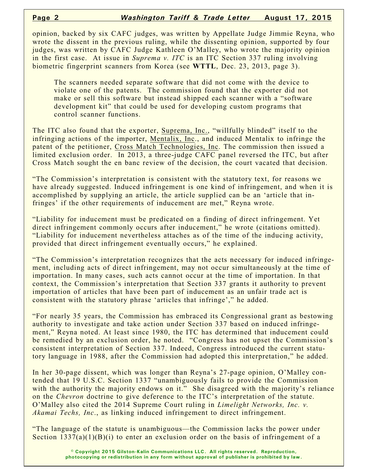opinion, backed by six CAFC judges, was written by Appellate Judge Jimmie Reyna, who wrote the dissent in the previous ruling, while the dissenting opinion, supported by four judges, was written by CAFC Judge Kathleen O'Malley, who wrote the majority opinion in the first case. At issue in *Suprema v. ITC* is an ITC Section 337 ruling involving biometric fingerprint scanners from Korea (see **WTTL**, Dec. 23, 2013, page 3).

The scanners needed separate software that did not come with the device to violate one of the patents. The commission found that the exporter did not make or sell this software but instead shipped each scanner with a "software development kit" that could be used for developing custom programs that control scanner functions.

The ITC also found that the exporter, Suprema, Inc., "willfully blinded" itself to the infringing actions of the importer, Mentalix, Inc., and induced Mentalix to infringe the patent of the petitioner, Cross Match Technologies, Inc. The commission then issued a limited exclusion order. In 2013, a three-judge CAFC panel reversed the ITC, but after Cross Match sought the en banc review of the decision, the court vacated that decision.

"The Commission's interpretation is consistent with the statutory text, for reasons we have already suggested. Induced infringement is one kind of infringement, and when it is accomplished by supplying an article, the article supplied can be an 'article that infringes' if the other requirements of inducement are met," Reyna wrote.

"Liability for inducement must be predicated on a finding of direct infringement. Yet direct infringement commonly occurs after inducement," he wrote (citations omitted). "Liability for inducement nevertheless attaches as of the time of the inducing activity, provided that direct infringement eventually occurs," he explained.

"The Commission's interpretation recognizes that the acts necessary for induced infringement, including acts of direct infringement, may not occur simultaneously at the time of importation. In many cases, such acts cannot occur at the time of importation. In that context, the Commission's interpretation that Section 337 grants it authority to prevent importation of articles that have been part of inducement as an unfair trade act is consistent with the statutory phrase 'articles that infringe'," he added.

"For nearly 35 years, the Commission has embraced its Congressional grant as bestowing authority to investigate and take action under Section 337 based on induced infringement," Reyna noted. At least since 1980, the ITC has determined that inducement could be remedied by an exclusion order, he noted. "Congress has not upset the Commission's consistent interpretation of Section 337. Indeed, Congress introduced the current statutory language in 1988, after the Commission had adopted this interpretation," he added.

In her 30-page dissent, which was longer than Reyna's 27-page opinion, O'Malley contended that 19 U.S.C. Section 1337 "unambiguously fails to provide the Commission with the authority the majority endows on it." She disagreed with the majority's reliance on the *Chevron* doctrine to give deference to the ITC's interpretation of the statute. O'Malley also cited the 2014 Supreme Court ruling in *Limelight Networks, Inc. v. Akamai Techs, Inc*., as linking induced infringement to direct infringement.

"The language of the statute is unambiguous—the Commission lacks the power under Section  $1337(a)(1)(B)(i)$  to enter an exclusion order on the basis of infringement of a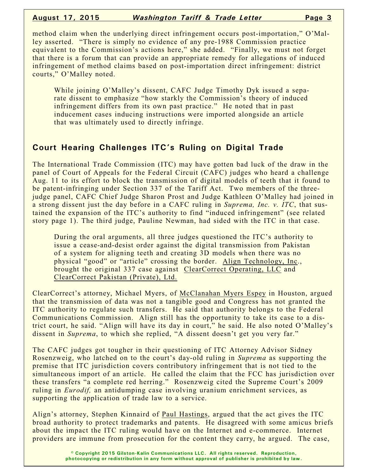method claim when the underlying direct infringement occurs post-importation," O'Malley asserted. "There is simply no evidence of any pre-1988 Commission practice equivalent to the Commission's actions here," she added. "Finally, we must not forget that there is a forum that can provide an appropriate remedy for allegations of induced infringement of method claims based on post-importation direct infringement: district courts," O'Malley noted.

While joining O'Malley's dissent, CAFC Judge Timothy Dyk issued a separate dissent to emphasize "how starkly the Commission's theory of induced infringement differs from its own past practice." He noted that in past inducement cases inducing instructions were imported alongside an article that was ultimately used to directly infringe.

# **Court Hearing Challenges ITC's Ruling on Digital Trade**

The International Trade Commission (ITC) may have gotten bad luck of the draw in the panel of Court of Appeals for the Federal Circuit (CAFC) judges who heard a challenge Aug. 11 to its effort to block the transmission of digital models of teeth that it found to be patent-infringing under Section 337 of the Tariff Act. Two members of the threejudge panel, CAFC Chief Judge Sharon Prost and Judge Kathleen O'Malley had joined in a strong dissent just the day before in a CAFC ruling in *Suprema, Inc. v. ITC*, that sustained the expansion of the ITC's authority to find "induced infringement" (see related story page 1). The third judge, Pauline Newman, had sided with the ITC in that case.

During the oral arguments, all three judges questioned the ITC's authority to issue a cease-and-desist order against the digital transmission from Pakistan of a system for aligning teeth and creating 3D models when there was no physical "good" or "article" crossing the border. Align Technology, Inc., brought the original 337 case against ClearCorrect Operating, LLC and ClearCorrect Pakistan (Private), Ltd.

ClearCorrect's attorney, Michael Myers, of McClanahan Myers Espey in Houston, argued that the transmission of data was not a tangible good and Congress has not granted the ITC authority to regulate such transfers. He said that authority belongs to the Federal Communications Commission. Align still has the opportunity to take its case to a district court, he said. "Align will have its day in court," he said. He also noted O'Malley's dissent in *Suprema*, to which she replied, "A dissent doesn't get you very far."

The CAFC judges got tougher in their questioning of ITC Attorney Advisor Sidney Rosenzweig, who latched on to the court's day-old ruling in *Suprema* as supporting the premise that ITC jurisdiction covers contributory infringement that is not tied to the simultaneous import of an article. He called the claim that the FCC has jurisdiction over these transfers "a complete red herring." Rosenzweig cited the Supreme Court's 2009 ruling in *Eurodif,* an antidumping case involving uranium enrichment services, as supporting the application of trade law to a service.

Align's attorney, Stephen Kinnaird of Paul Hastings, argued that the act gives the ITC broad authority to protect trademarks and patents. He disagreed with some amicus briefs about the impact the ITC ruling would have on the Internet and e-commerce. Internet providers are immune from prosecution for the content they carry, he argued. The case,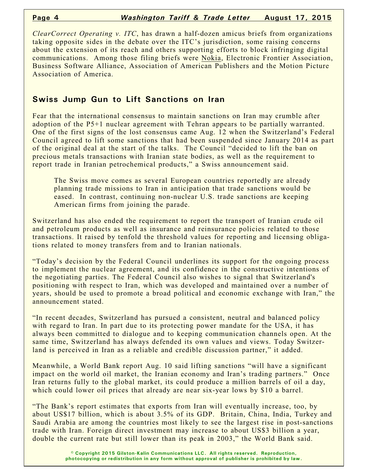*ClearCorrect Operating v. ITC*, has drawn a half-dozen amicus briefs from organizations taking opposite sides in the debate over the ITC's jurisdiction, some raising concerns about the extension of its reach and others supporting efforts to block infringing digital communications. Among those filing briefs were Nokia, Electronic Frontier Association, Business Software Alliance, Association of American Publishers and the Motion Picture Association of America.

#### **Swiss Jump Gun to Lift Sanctions on Iran**

Fear that the international consensus to maintain sanctions on Iran may crumble after adoption of the P5+1 nuclear agreement with Tehran appears to be partially warranted. One of the first signs of the lost consensus came Aug. 12 when the Switzerland's Federal Council agreed to lift some sanctions that had been suspended since January 2014 as part of the original deal at the start of the talks. The Council "decided to lift the ban on precious metals transactions with Iranian state bodies, as well as the requirement to report trade in Iranian petrochemical products," a Swiss announcement said.

The Swiss move comes as several European countries reportedly are already planning trade missions to Iran in anticipation that trade sanctions would be eased. In contrast, continuing non-nuclear U.S. trade sanctions are keeping American firms from joining the parade.

Switzerland has also ended the requirement to report the transport of Iranian crude oil and petroleum products as well as insurance and reinsurance policies related to those transactions. It raised by tenfold the threshold values for reporting and licensing obligations related to money transfers from and to Iranian nationals.

"Today's decision by the Federal Council underlines its support for the ongoing process to implement the nuclear agreement, and its confidence in the constructive intentions of the negotiating parties. The Federal Council also wishes to signal that Switzerland's positioning with respect to Iran, which was developed and maintained over a number of years, should be used to promote a broad political and economic exchange with Iran," the announcement stated.

"In recent decades, Switzerland has pursued a consistent, neutral and balanced policy with regard to Iran. In part due to its protecting power mandate for the USA, it has always been committed to dialogue and to keeping communication channels open. At the same time, Switzerland has always defended its own values and views. Today Switzerland is perceived in Iran as a reliable and credible discussion partner," it added.

Meanwhile, a World Bank report Aug. 10 said lifting sanctions "will have a significant impact on the world oil market, the Iranian economy and Iran's trading partners." Once Iran returns fully to the global market, its could produce a million barrels of oil a day, which could lower oil prices that already are near six-year lows by \$10 a barrel.

"The Bank's report estimates that exports from Iran will eventually increase, too, by about US\$17 billion, which is about 3.5% of its GDP. Britain, China, India, Turkey and Saudi Arabia are among the countries most likely to see the largest rise in post-sanctions trade with Iran. Foreign direct investment may increase to about US\$3 billion a year, double the current rate but still lower than its peak in 2003," the World Bank said.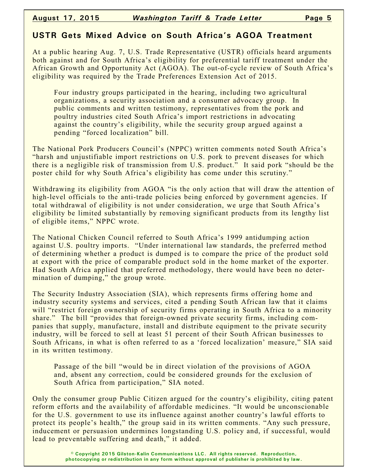# **USTR Gets Mixed Advice on South Africa's AGOA Treatment**

At a public hearing Aug. 7, U.S. Trade Representative (USTR) officials heard arguments both against and for South Africa's eligibility for preferential tariff treatment under the African Growth and Opportunity Act (AGOA). The out-of-cycle review of South Africa's eligibility was required by the Trade Preferences Extension Act of 2015.

Four industry groups participated in the hearing, including two agricultural organizations, a security association and a consumer advocacy group. In public comments and written testimony, representatives from the pork and poultry industries cited South Africa's import restrictions in advocating against the country's eligibility, while the security group argued against a pending "forced localization" bill.

The National Pork Producers Council's (NPPC) written comments noted South Africa's "harsh and unjustifiable import restrictions on U.S. pork to prevent diseases for which there is a negligible risk of transmission from U.S. product." It said pork "should be the poster child for why South Africa's eligibility has come under this scrutiny."

Withdrawing its eligibility from AGOA "is the only action that will draw the attention of high-level officials to the anti-trade policies being enforced by government agencies. If total withdrawal of eligibility is not under consideration, we urge that South Africa's eligibility be limited substantially by removing significant products from its lengthy list of eligible items," NPPC wrote.

The National Chicken Council referred to South Africa's 1999 antidumping action against U.S. poultry imports. "Under international law standards, the preferred method of determining whether a product is dumped is to compare the price of the product sold at export with the price of comparable product sold in the home market of the exporter. Had South Africa applied that preferred methodology, there would have been no determination of dumping," the group wrote.

The Security Industry Association (SIA), which represents firms offering home and industry security systems and services, cited a pending South African law that it claims will "restrict foreign ownership of security firms operating in South Africa to a minority share." The bill "provides that foreign-owned private security firms, including companies that supply, manufacture, install and distribute equipment to the private security industry, will be forced to sell at least 51 percent of their South African businesses to South Africans, in what is often referred to as a 'forced localization' measure," SIA said in its written testimony.

Passage of the bill "would be in direct violation of the provisions of AGOA and, absent any correction, could be considered grounds for the exclusion of South Africa from participation," SIA noted.

Only the consumer group Public Citizen argued for the country's eligibility, citing patent reform efforts and the availability of affordable medicines. "It would be unconscionable for the U.S. government to use its influence against another country's lawful efforts to protect its people's health," the group said in its written comments. "Any such pressure, inducement or persuasion undermines longstanding U.S. policy and, if successful, would lead to preventable suffering and death," it added.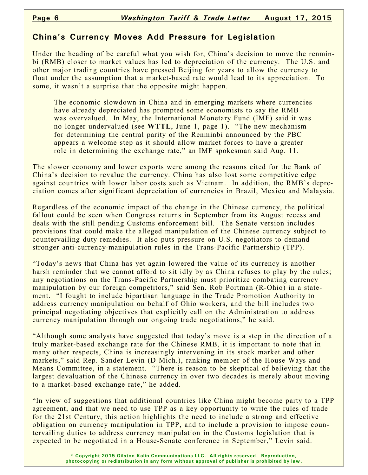### **China's Currency Moves Add Pressure for Legislation**

Under the heading of be careful what you wish for, China's decision to move the renminbi (RMB) closer to market values has led to depreciation of the currency. The U.S. and other major trading countries have pressed Beijing for years to allow the currency to float under the assumption that a market-based rate would lead to its appreciation. To some, it wasn't a surprise that the opposite might happen.

The economic slowdown in China and in emerging markets where currencies have already depreciated has prompted some economists to say the RMB was overvalued. In May, the International Monetary Fund (IMF) said it was no longer undervalued (see **WTTL**, June 1, page 1). "The new mechanism for determining the central parity of the Renminbi announced by the PBC appears a welcome step as it should allow market forces to have a greater role in determining the exchange rate," an IMF spokesman said Aug. 11.

The slower economy and lower exports were among the reasons cited for the Bank of China's decision to revalue the currency. China has also lost some competitive edge against countries with lower labor costs such as Vietnam. In addition, the RMB's depreciation comes after significant depreciation of currencies in Brazil, Mexico and Malaysia.

Regardless of the economic impact of the change in the Chinese currency, the political fallout could be seen when Congress returns in September from its August recess and deals with the still pending Customs enforcement bill. The Senate version includes provisions that could make the alleged manipulation of the Chinese currency subject to countervailing duty remedies. It also puts pressure on U.S. negotiators to demand stronger anti-currency-manipulation rules in the Trans-Pacific Partnership (TPP).

"Today's news that China has yet again lowered the value of its currency is another harsh reminder that we cannot afford to sit idly by as China refuses to play by the rules; any negotiations on the Trans-Pacific Partnership must prioritize combating currency manipulation by our foreign competitors," said Sen. Rob Portman (R-Ohio) in a statement. "I fought to include bipartisan language in the Trade Promotion Authority to address currency manipulation on behalf of Ohio workers, and the bill includes two principal negotiating objectives that explicitly call on the Administration to address currency manipulation through our ongoing trade negotiations," he said.

"Although some analysts have suggested that today's move is a step in the direction of a truly market-based exchange rate for the Chinese RMB, it is important to note that in many other respects, China is increasingly intervening in its stock market and other markets," said Rep. Sander Levin (D-Mich.), ranking member of the House Ways and Means Committee, in a statement. "There is reason to be skeptical of believing that the largest devaluation of the Chinese currency in over two decades is merely about moving to a market-based exchange rate," he added.

"In view of suggestions that additional countries like China might become party to a TPP agreement, and that we need to use TPP as a key opportunity to write the rules of trade for the 21st Century, this action highlights the need to include a strong and effective obligation on currency manipulation in TPP, and to include a provision to impose countervailing duties to address currency manipulation in the Customs legislation that is expected to be negotiated in a House-Senate conference in September," Levin said.